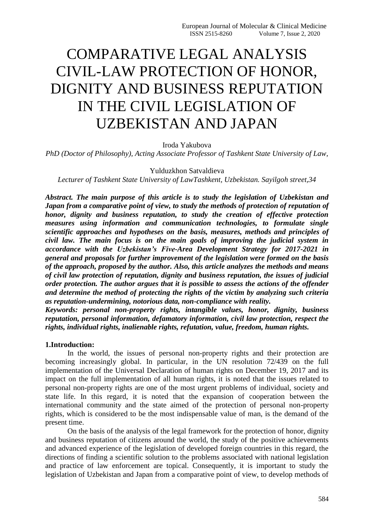# COMPARATIVE LEGAL ANALYSIS CIVIL-LAW PROTECTION OF HONOR, DIGNITY AND BUSINESS REPUTATION IN THE CIVIL LEGISLATION OF UZBEKISTAN AND JAPAN

Iroda Yakubova

*PhD (Doctor of Philosophy), Acting Associate Professor of Tashkent State University of Law,*

Yulduzkhon Satvaldieva

*Lecturer of Tashkent State University of LawTashkent, Uzbekistan. Sayilgoh street,34*

*Abstract. The main purpose of this article is to study the legislation of Uzbekistan and Japan from a comparative point of view, to study the methods of protection of reputation of honor, dignity and business reputation, to study the creation of effective protection measures using information and communication technologies, to formulate single scientific approaches and hypotheses on the basis, measures, methods and principles of civil law. The main focus is on the main goals of improving the judicial system in accordance with the Uzbekistan's Five-Area Development Strategy for 2017-2021 in general and proposals for further improvement of the legislation were formed on the basis of the approach, proposed by the author. Also, this article analyzes the methods and means of civil law protection of reputation, dignity and business reputation, the issues of judicial order protection. The author argues that it is possible to assess the actions of the offender and determine the method of protecting the rights of the victim by analyzing such criteria as reputation-undermining, notorious data, non-compliance with reality.*

*Keywords: personal non-property rights, intangible values, honor, dignity, business reputation, personal information, defamatory information, civil law protection, respect the rights, individual rights, inalienable rights, refutation, value, freedom, human rights.*

#### **1.Introduction:**

In the world, the issues of personal non-property rights and their protection are becoming increasingly global. In particular, in the UN resolution 72/439 on the full implementation of the Universal Declaration of human rights on December 19, 2017 and its impact on the full implementation of all human rights, it is noted that the issues related to personal non-property rights are one of the most urgent problems of individual, society and state life. In this regard, it is noted that the expansion of cooperation between the international community and the state aimed of the protection of personal non-property rights, which is considered to be the most indispensable value of man, is the demand of the present time.

On the basis of the analysis of the legal framework for the protection of honor, dignity and business reputation of citizens around the world, the study of the positive achievements and advanced experience of the legislation of developed foreign countries in this regard, the directions of finding a scientific solution to the problems associated with national legislation and practice of law enforcement are topical. Consequently, it is important to study the legislation of Uzbekistan and Japan from a comparative point of view, to develop methods of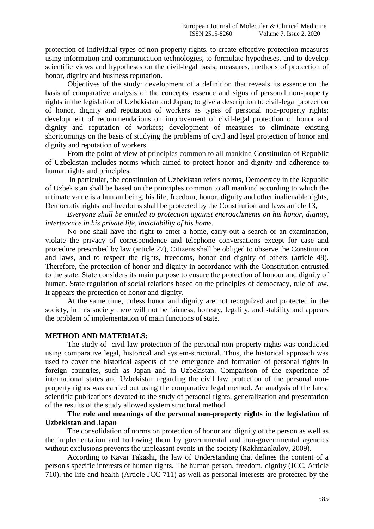protection of individual types of non-property rights, to create effective protection measures using information and communication technologies, to formulate hypotheses, and to develop scientific views and hypotheses on the civil-legal basis, measures, methods of protection of honor, dignity and business reputation.

Objectives of the study: development of a definition that reveals its essence on the basis of comparative analysis of the concepts, essence and signs of personal non-property rights in the legislation of Uzbekistan and Japan; to give a description to civil-legal protection of honor, dignity and reputation of workers as types of personal non-property rights; development of recommendations on improvement of civil-legal protection of honor and dignity and reputation of workers; development of measures to eliminate existing shortcomings on the basis of studying the problems of civil and legal protection of honor and dignity and reputation of workers.

From the point of view of principles common to all mankind Constitution of Republic of Uzbekistan includes norms which aimed to protect honor and dignity and adherence to human rights and principles.

In particular, the constitution of Uzbekistan refers norms, Democracy in the Republic of Uzbekistan shall be based on the principles common to all mankind according to which the ultimate value is a human being, his life, freedom, honor, dignity and other inalienable rights, Democratic rights and freedoms shall be protected by the Constitution and laws article 13,

*Everyone shall be entitled to protection against encroachments on his honor, dignity, interference in his private life, inviolability of his home.*

No one shall have the right to enter a home, carry out a search or an examination, violate the privacy of correspondence and telephone conversations except for case and procedure prescribed by law (article 27), Citizens shall be obliged to observe the Constitution and laws, and to respect the rights, freedoms, honor and dignity of others (article 48). Therefore, the protection of honor and dignity in accordance with the Constitution entrusted to the state. State considers its main purpose to ensure the protection of honour and dignity of human. State regulation of social relations based on the principles of democracy, rule of law. It appears the protection of honor and dignity.

At the same time, unless honor and dignity are not recognized and protected in the society, in this society there will not be fairness, honesty, legality, and stability and appears the problem of implementation of main functions of state.

#### **METHOD AND MATERIALS:**

The study of civil law protection of the personal non-property rights was conducted using comparative legal, historical and system-structural. Thus, the historical approach was used to cover the historical aspects of the emergence and formation of personal rights in foreign countries, such as Japan and in Uzbekistan. Comparison of the experience of international states and Uzbekistan regarding the civil law protection of the personal nonproperty rights was carried out using the comparative legal method. An analysis of the latest scientific publications devoted to the study of personal rights, generalization and presentation of the results of the study allowed system structural method.

# **The role and meanings of the personal non-property rights in the legislation of Uzbekistan and Japan**

The consolidation of norms on protection of honor and dignity of the person as well as the implementation and following them by governmental and non-governmental agencies without exclusions prevents the unpleasant events in the society (Rakhmankulov, 2009).

According to Kavai Takashi, the law of Understanding that defines the content of a person's specific interests of human rights. The human person, freedom, dignity (JCC, Article 710), the life and health (Article JCC 711) as well as personal interests are protected by the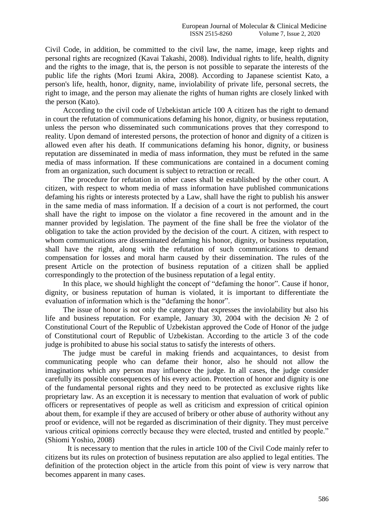Civil Code, in addition, be committed to the civil law, the name, image, keep rights and personal rights are recognized (Kavai Takashi, 2008). Individual rights to life, health, dignity and the rights to the image, that is, the person is not possible to separate the interests of the public life the rights (Mori Izumi Akira, 2008). According to Japanese scientist Kato, a person's life, health, honor, dignity, name, inviolability of private life, personal secrets, the right to image, and the person may alienate the rights of human rights are closely linked with the person (Kato).

According to the civil code of Uzbekistan article 100 A citizen has the right to demand in court the refutation of communications defaming his honor, dignity, or business reputation, unless the person who disseminated such communications proves that they correspond to reality. Upon demand of interested persons, the protection of honor and dignity of a citizen is allowed even after his death. If communications defaming his honor, dignity, or business reputation are disseminated in media of mass information, they must be refuted in the same media of mass information. If these communications are contained in a document coming from an organization, such document is subject to retraction or recall.

The procedure for refutation in other cases shall be established by the other court. A citizen, with respect to whom media of mass information have published communications defaming his rights or interests protected by a Law, shall have the right to publish his answer in the same media of mass information. If a decision of a court is not performed, the court shall have the right to impose on the violator a fine recovered in the amount and in the manner provided by legislation. The payment of the fine shall be free the violator of the obligation to take the action provided by the decision of the court. A citizen, with respect to whom communications are disseminated defaming his honor, dignity, or business reputation, shall have the right, along with the refutation of such communications to demand compensation for losses and moral harm caused by their dissemination. The rules of the present Article on the protection of business reputation of a citizen shall be applied correspondingly to the protection of the business reputation of a legal entity.

In this place, we should highlight the concept of "defaming the honor". Cause if honor, dignity, or business reputation of human is violated, it is important to differentiate the evaluation of information which is the "defaming the honor".

The issue of honor is not only the category that expresses the inviolability but also his life and business reputation. For example, January 30, 2004 with the decision № 2 of Constitutional Court of the Republic of Uzbekistan approved the Code of Honor of the judge of Constitutional court of Republic of Uzbekistan. According to the article 3 of the code judge is prohibited to abuse his social status to satisfy the interests of others.

The judge must be careful in making friends and acquaintances, to desist from communicating people who can defame their honor, also he should not allow the imaginations which any person may influence the judge. In all cases, the judge consider carefully its possible consequences of his every action. Protection of honor and dignity is one of the fundamental personal rights and they need to be protected as exclusive rights like proprietary law. As an exception it is necessary to mention that evaluation of work of public officers or representatives of people as well as criticism and expression of critical opinion about them, for example if they are accused of bribery or other abuse of authority without any proof or evidence, will not be regarded as discrimination of their dignity. They must perceive various critical opinions correctly because they were elected, trusted and entitled by people." (Shiomi Yoshio, 2008)

It is necessary to mention that the rules in article 100 of the Civil Code mainly refer to citizens but its rules on protection of business reputation are also applied to legal entities. The definition of the protection object in the article from this point of view is very narrow that becomes apparent in many cases.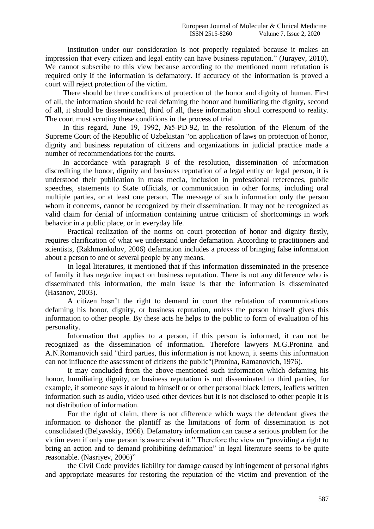Institution under our consideration is not properly regulated because it makes an impression that every citizen and legal entity can have business reputation." (Jurayev, 2010). We cannot subscribe to this view because according to the mentioned norm refutation is required only if the information is defamatory. If accuracy of the information is proved a court will reject protection of the victim.

There should be three conditions of protection of the honor and dignity of human. First of all, the information should be real defaming the honor and humiliating the dignity, second of all, it should be disseminated, third of all, these information shoul correspond to reality. The court must scrutiny these conditions in the process of trial.

In this regard, June 19, 1992, №5-PD-92, in the resolution of the Plenum of the Supreme Court of the Republic of Uzbekistan "on application of laws on protection of honor, dignity and business reputation of citizens and organizations in judicial practice made a number of recommendations for the courts.

In accordance with paragraph 8 of the resolution, dissemination of information discrediting the honor, dignity and business reputation of a legal entity or legal person, it is understood their publication in mass media, inclusion in professional references, public speeches, statements to State officials, or communication in other forms, including oral multiple parties, or at least one person. The message of such information only the person whom it concerns, cannot be recognized by their dissemination. It may not be recognized as valid claim for denial of information containing untrue criticism of shortcomings in work behavior in a public place, or in everyday life.

Practical realization of the norms on court protection of honor and dignity firstly, requires clarification of what we understand under defamation. According to practitioners and scientists, (Rakhmankulov, 2006) defamation includes a process of bringing false information about a person to one or several people by any means.

In legal literatures, it mentioned that if this information disseminated in the presence of family it has negative impact on business reputation. There is not any difference who is disseminated this information, the main issue is that the information is disseminated (Hasanov, 2003).

A citizen hasn't the right to demand in court the refutation of communications defaming his honor, dignity, or business reputation, unless the person himself gives this information to other people. By these acts he helps to the public to form of evaluation of his personality.

Information that applies to a person, if this person is informed, it can not be recognized as the dissemination of information. Therefore lawyers M.G.Pronina and A.N.Romanovich said "third parties, this information is not known, it seems this information can not influence the assessment of citizens the public"(Pronina, Ramanovich, 1976).

It may concluded from the above-mentioned such information which defaming his honor, humiliating dignity, or business reputation is not disseminated to third parties, for example, if someone says it aloud to himself or or other personal black letters, leaflets written information such as audio, video used other devices but it is not disclosed to other people it is not distribution of information.

For the right of claim, there is not difference which ways the defendant gives the information to dishonor the plantiff as the limitations of form of dissemination is not consolidated (Belyavskiy, 1966). Defamatory information can cause a serious problem for the victim even if only one person is aware about it." Therefore the view on "providing a right to bring an action and to demand prohibiting defamation" in legal literature seems to be quite reasonable. (Nasriyev, 2006)"

the Civil Code provides liability for damage caused by infringement of personal rights and appropriate measures for restoring the reputation of the victim and prevention of the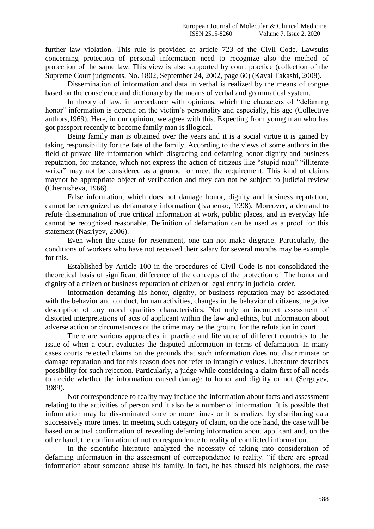further law violation. This rule is provided at article 723 of the Civil Code. Lawsuits concerning protection of personal information need to recognize also the method of protection of the same law. This view is also supported by court practice (collection of the Supreme Court judgments, No. 1802, September 24, 2002, page 60) (Kavai Takashi, 2008).

Dissemination of information and data in verbal is realized by the means of tongue based on the conscience and dictionary by the means of verbal and grammatical system.

In theory of law, in accordance with opinions, which the characters of "defaming honor" information is depend on the victim's personality and especially, his age (Collective authors,1969). Here, in our opinion, we agree with this. Expecting from young man who has got passport recently to become family man is illogical.

Being family man is obtained over the years and it is a social virtue it is gained by taking responsibility for the fate of the family. According to the views of some authors in the field of private life information which disgracing and defaming honor dignity and business reputation, for instance, which not express the action of citizens like "stupid man" "illiterate writer" may not be considered as a ground for meet the requirement. This kind of claims maynot be appropriate object of verification and they can not be subject to judicial review (Chernisheva, 1966).

False information, which does not damage honor, dignity and business reputation, cannot be recognized as defamatory information (Ivanenko, 1998). Moreover, a demand to refute dissemination of true critical information at work, public places, and in everyday life cannot be recognized reasonable. Definition of defamation can be used as a proof for this statement (Nasriyev, 2006).

Even when the cause for resentment, one can not make disgrace. Particularly, the conditions of workers who have not received their salary for several months may be example for this.

Established by Article 100 in the procedures of Civil Code is not consolidated the theoretical basis of significant difference of the concepts of the protection of The honor and dignity of a citizen or business reputation of citizen or legal entity in judicial order.

Information defaming his honor, dignity, or business reputation may be associated with the behavior and conduct, human activities, changes in the behavior of citizens, negative description of any moral qualities characteristics. Not only an incorrect assessment of distorted interpretations of acts of applicant within the law and ethics, but information about adverse action or circumstances of the crime may be the ground for the refutation in court.

There are various approaches in practice and literature of different countries to the issue of when a court evaluates the disputed information in terms of defamation. In many cases courts rejected claims on the grounds that such information does not discriminate or damage reputation and for this reason does not refer to intangible values. Literature describes possibility for such rejection. Particularly, a judge while considering a claim first of all needs to decide whether the information caused damage to honor and dignity or not (Sergeyev, 1989).

Not correspondence to reality may include the information about facts and assessment relating to the activities of person and it also be a number of information. It is possible that information may be disseminated once or more times or it is realized by distributing data successively more times. In meeting such category of claim, on the one hand, the case will be based on actual confirmation of revealing defaming information about applicant and, on the other hand, the confirmation of not correspondence to reality of conflicted information.

In the scientific literature analyzed the necessity of taking into consideration of defaming information in the assessment of correspondence to reality. "if there are spread information about someone abuse his family, in fact, he has abused his neighbors, the case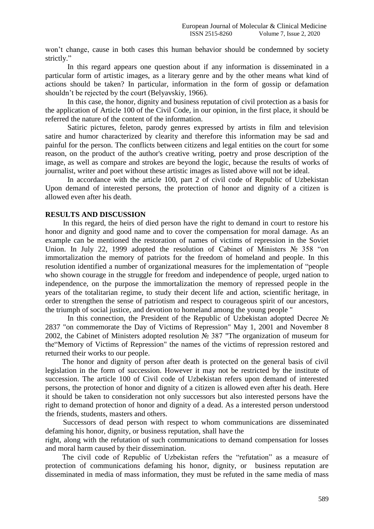won't change, cause in both cases this human behavior should be condemned by society strictly."

In this regard appears one question about if any information is disseminated in a particular form of artistic images, as a literary genre and by the other means what kind of actions should be taken? In particular, information in the form of gossip or defamation shouldn't be rejected by the court (Belyavskiy, 1966).

In this case, the honor, dignity and business reputation of civil protection as a basis for the application of Article 100 of the Civil Code, in our opinion, in the first place, it should be referred the nature of the content of the information.

Satiric pictures, feleton, parody genres expressed by artists in film and television satire and humor characterized by clearity and therefore this information may be sad and painful for the person. The conflicts between citizens and legal entities on the court for some reason, on the product of the author's creative writing, poetry and prose description of the image, as well as compare and strokes are beyond the logic, because the results of works of journalist, writer and poet without these artistic images as listed above will not be ideal.

In accordance with the article 100, part 2 of civil code of Republic of Uzbekistan Upon demand of interested persons, the protection of honor and dignity of a citizen is allowed even after his death.

#### **RESULTS AND DISCUSSION**

In this regard, the heirs of died person have the right to demand in court to restore his honor and dignity and good name and to cover the compensation for moral damage. As an example can be mentioned the restoration of names of victims of repression in the Soviet Union. In July 22, 1999 adopted the resolution of Cabinet of Ministers № 358 "on immortalization the memory of patriots for the freedom of homeland and people. In this resolution identified a number of organizational measures for the implementation of "people who shown courage in the struggle for freedom and independence of people, urged nation to independence, on the purpose the immortalization the memory of repressed people in the years of the totalitarian regime, to study their decent life and action, scientific heritage, in order to strengthen the sense of patriotism and respect to courageous spirit of our ancestors, the triumph of social justice, and devotion to homeland among the young people "

In this connection, the President of the Republic of Uzbekistan adopted Decree № 2837 "on commemorate the Day of Victims of Repression" May 1, 2001 and November 8 2002, the Cabinet of Ministers adopted resolution № 387 "The organization of museum for the"Memory of Victims of Repression" the names of the victims of repression restored and returned their works to our people.

The honor and dignity of person after death is protected on the general basis of civil legislation in the form of succession. However it may not be restricted by the institute of succession. The article 100 of Civil code of Uzbekistan refers upon demand of interested persons, the protection of honor and dignity of a citizen is allowed even after his death. Here it should be taken to consideration not only successors but also interested persons have the right to demand protection of honor and dignity of a dead. As a interested person understood the friends, students, masters and others.

Successors of dead person with respect to whom communications are disseminated defaming his honor, dignity, or business reputation, shall have the right, along with the refutation of such communications to demand compensation for losses

and moral harm caused by their dissemination.

The civil code of Republic of Uzbekistan refers the "refutation" as a measure of protection of communications defaming his honor, dignity, or business reputation are disseminated in media of mass information, they must be refuted in the same media of mass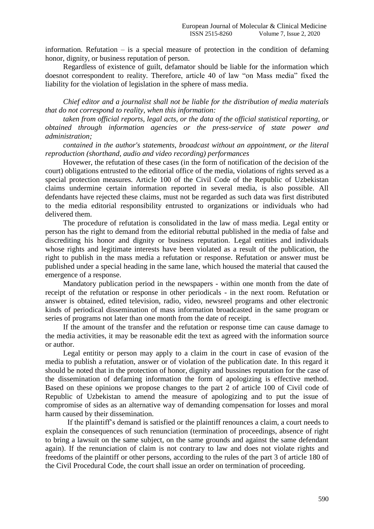information. Refutation  $-$  is a special measure of protection in the condition of defaming honor, dignity, or business reputation of person.

Regardless of existence of guilt, defamator should be liable for the information which doesnot correspondent to reality. Therefore, article 40 of law "on Mass media" fixed the liability for the violation of legislation in the sphere of mass media.

*Chief editor and a journalist shall not be liable for the distribution of media materials that do not correspond to reality, when this information:*

*taken from official reports, legal acts, or the data of the official statistical reporting, or obtained through information agencies or the press-service of state power and administration;*

*contained in the author's statements, broadcast without an appointment, or the literal reproduction (shorthand, audio and video recording) performances* 

Hovewer, the refutation of these cases (in the form of notification of the decision of the court) obligations entrusted to the editorial office of the media, violations of rights served as a special protection measures. Article 100 of the Civil Code of the Republic of Uzbekistan claims undermine certain information reported in several media, is also possible. All defendants have rejected these claims, must not be regarded as such data was first distributed to the media editorial responsibility entrusted to organizations or individuals who had delivered them.

The procedure of refutation is consolidated in the law of mass media. Legal entity or person has the right to demand from the editorial rebuttal published in the media of false and discrediting his honor and dignity or business reputation. Legal entities and individuals whose rights and legitimate interests have been violated as a result of the publication, the right to publish in the mass media a refutation or response. Refutation or answer must be published under a special heading in the same lane, which housed the material that caused the emergence of a response.

Mandatory publication period in the newspapers - within one month from the date of receipt of the refutation or response in other periodicals - in the next room. Refutation or answer is obtained, edited television, radio, video, newsreel programs and other electronic kinds of periodical dissemination of mass information broadcasted in the same program or series of programs not later than one month from the date of receipt.

If the amount of the transfer and the refutation or response time can cause damage to the media activities, it may be reasonable edit the text as agreed with the information source or author.

Legal entitity or person may apply to a claim in the court in case of evasion of the media to publish a refutation, answer or of violation of the publication date. In this regard it should be noted that in the protection of honor, dignity and bussines reputation for the case of the dissemination of defaming information the form of apologizing is effective method. Based on these opinions we propose changes to the part 2 of article 100 of Civil code of Republic of Uzbekistan to amend the measure of apologizing and to put the issue of compromise of sides as an alternative way of demanding compensation for losses and moral harm caused by their dissemination.

If the plaintiff's demand is satisfied or the plaintiff renounces a claim, a court needs to explain the consequences of such renunciation (termination of proceedings, absence of right to bring a lawsuit on the same subject, on the same grounds and against the same defendant again). If the renunciation of claim is not contrary to law and does not violate rights and freedoms of the plaintiff or other persons, according to the rules of the part 3 of article 180 of the Civil Procedural Code, the court shall issue an order on termination of proceeding.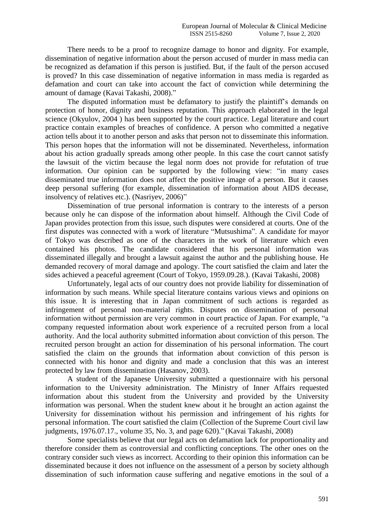There needs to be a proof to recognize damage to honor and dignity. For example, dissemination of negative information about the person accused of murder in mass media can be recognized as defamation if this person is justified. But, if the fault of the person accused is proved? In this case dissemination of negative information in mass media is regarded as defamation and court can take into account the fact of conviction while determining the amount of damage (Kavai Takashi, 2008)."

The disputed information must be defamatory to justify the plaintiff's demands on protection of honor, dignity and business reputation. This approach elaborated in the legal science (Okyulov, 2004 ) has been supported by the court practice. Legal literature and court practice contain examples of breaches of confidence. A person who committed a negative action tells about it to another person and asks that person not to disseminate this information. This person hopes that the information will not be disseminated. Nevertheless, information about his action gradually spreads among other people. In this case the court cannot satisfy the lawsuit of the victim because the legal norm does not provide for refutation of true information. Our opinion can be supported by the following view: "in many cases disseminated true information does not affect the positive image of a person. But it causes deep personal suffering (for example, dissemination of information about AIDS decease, insolvency of relatives etc.). (Nasriyev, 2006)"

Dissemination of true personal information is contrary to the interests of a person because only he can dispose of the information about himself. Although the Civil Code of Japan provides protection from this issue, such disputes were considered at courts. One of the first disputes was connected with a work of literature "Mutsushima". A candidate for mayor of Tokyo was described as one of the characters in the work of literature which even contained his photos. The candidate considered that his personal information was disseminated illegally and brought a lawsuit against the author and the publishing house. He demanded recovery of moral damage and apology. The court satisfied the claim and later the sides achieved a peaceful agreement (Court of Tokyo, 1959.09.28.). (Kavai Takashi, 2008)

Unfortunately, legal acts of our country does not provide liability for dissemination of information by such means. While special literature contains various views and opinions on this issue. It is interesting that in Japan commitment of such actions is regarded as infringement of personal non-material rights. Disputes on dissemination of personal information without permission are very common in court practice of Japan. For example, "a company requested information about work experience of a recruited person from a local authority. And the local authority submitted information about conviction of this person. The recruited person brought an action for dissemination of his personal information. The court satisfied the claim on the grounds that information about conviction of this person is connected with his honor and dignity and made a conclusion that this was an interest protected by law from dissemination (Hasanov, 2003).

A student of the Japanese University submitted a questionnaire with his personal information to the University administration. The Ministry of Inner Affairs requested information about this student from the University and provided by the University information was personal. When the student knew about it he brought an action against the University for dissemination without his permission and infringement of his rights for personal information. The court satisfied the claim (Collection of the Supreme Court civil law judgments, 1976.07.17., volume 35, No. 3, and page 620)." (Kavai Takashi, 2008)

Some specialists believe that our legal acts on defamation lack for proportionality and therefore consider them as controversial and conflicting conceptions. The other ones on the contrary consider such views as incorrect. According to their opinion this information can be disseminated because it does not influence on the assessment of a person by society although dissemination of such information cause suffering and negative emotions in the soul of a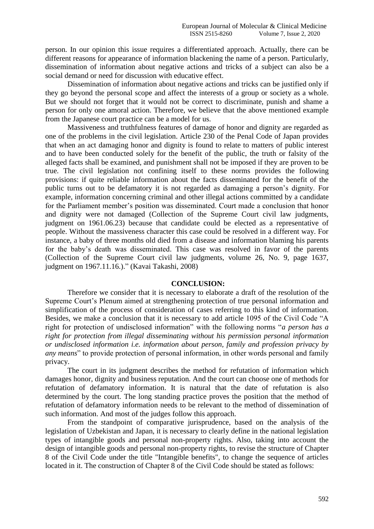person. In our opinion this issue requires a differentiated approach. Actually, there can be different reasons for appearance of information blackening the name of a person. Particularly, dissemination of information about negative actions and tricks of a subject can also be a social demand or need for discussion with educative effect.

Dissemination of information about negative actions and tricks can be justified only if they go beyond the personal scope and affect the interests of a group or society as a whole. But we should not forget that it would not be correct to discriminate, punish and shame a person for only one amoral action. Therefore, we believe that the above mentioned example from the Japanese court practice can be a model for us.

Massiveness and truthfulness features of damage of honor and dignity are regarded as one of the problems in the civil legislation. Article 230 of the Penal Code of Japan provides that when an act damaging honor and dignity is found to relate to matters of public interest and to have been conducted solely for the benefit of the public, the truth or falsity of the alleged facts shall be examined, and punishment shall not be imposed if they are proven to be true. The civil legislation not confining itself to these norms provides the following provisions: if quite reliable information about the facts disseminated for the benefit of the public turns out to be defamatory it is not regarded as damaging a person's dignity. For example, information concerning criminal and other illegal actions committed by a candidate for the Parliament member's position was disseminated. Court made a conclusion that honor and dignity were not damaged (Collection of the Supreme Court civil law judgments, judgment on 1961.06.23) because that candidate could be elected as a representative of people. Without the massiveness character this case could be resolved in a different way. For instance, a baby of three months old died from a disease and information blaming his parents for the baby's death was disseminated. This case was resolved in favor of the parents (Collection of the Supreme Court civil law judgments, volume 26, No. 9, page 1637, judgment on 1967.11.16.)." (Kavai Takashi, 2008)

#### **CONCLUSION:**

Therefore we consider that it is necessary to elaborate a draft of the resolution of the Supreme Court's Plenum aimed at strengthening protection of true personal information and simplification of the process of consideration of cases referring to this kind of information. Besides, we make a conclusion that it is necessary to add article 1095 of the Civil Code "A right for protection of undisclosed information" with the following norms "*a person has a right for protection from illegal disseminating without his permission personal information or undisclosed information i.e. information about person, family and profession privacy by any means*" to provide protection of personal information, in other words personal and family privacy.

The court in its judgment describes the method for refutation of information which damages honor, dignity and business reputation. And the court can choose one of methods for refutation of defamatory information. It is natural that the date of refutation is also determined by the court. The long standing practice proves the position that the method of refutation of defamatory information needs to be relevant to the method of dissemination of such information. And most of the judges follow this approach.

From the standpoint of comparative jurisprudence, based on the analysis of the legislation of Uzbekistan and Japan, it is necessary to clearly define in the national legislation types of intangible goods and personal non-property rights. Also, taking into account the design of intangible goods and personal non-property rights, to revise the structure of Chapter 8 of the Civil Code under the title "Intangible benefits", to change the sequence of articles located in it. The construction of Chapter 8 of the Civil Code should be stated as follows: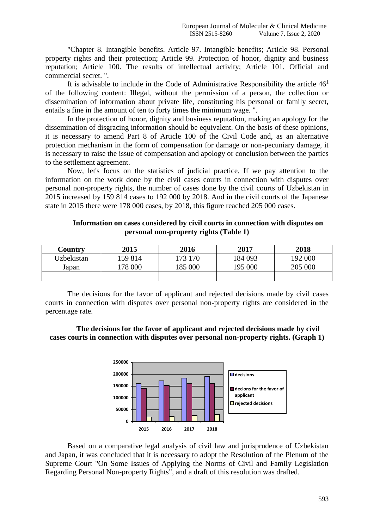"Chapter 8. Intangible benefits. Article 97. Intangible benefits; Article 98. Personal property rights and their protection; Article 99. Protection of honor, dignity and business reputation; Article 100. The results of intellectual activity; Article 101. Official and commercial secret. ".

It is advisable to include in the Code of Administrative Responsibility the article  $46<sup>1</sup>$ of the following content: Illegal, without the permission of a person, the collection or dissemination of information about private life, constituting his personal or family secret, entails a fine in the amount of ten to forty times the minimum wage. ".

In the protection of honor, dignity and business reputation, making an apology for the dissemination of disgracing information should be equivalent. On the basis of these opinions, it is necessary to amend Part 8 of Article 100 of the Civil Code and, as an alternative protection mechanism in the form of compensation for damage or non-pecuniary damage, it is necessary to raise the issue of compensation and apology or conclusion between the parties to the settlement agreement.

Now, let's focus on the statistics of judicial practice. If we pay attention to the information on the work done by the civil cases courts in connection with disputes over personal non-property rights, the number of cases done by the civil courts of Uzbekistan in 2015 increased by 159 814 cases to 192 000 by 2018. And in the civil courts of the Japanese state in 2015 there were 178 000 cases, by 2018, this figure reached 205 000 cases.

| Country    | 2015    | 2016    | 2017    | 2018    |
|------------|---------|---------|---------|---------|
| Uzbekistan | 159 814 | 173 170 | 184 093 | 192 000 |
| Japan      | 178 000 | 185 000 | 195 000 | 205 000 |
|            |         |         |         |         |

## **Information on cases considered by civil courts in connection with disputes on personal non-property rights (Table 1)**

The decisions for the favor of applicant and rejected decisions made by civil cases courts in connection with disputes over personal non-property rights are considered in the percentage rate.

## **The decisions for the favor of applicant and rejected decisions made by civil cases courts in connection with disputes over personal non-property rights. (Graph 1)**



Based on a comparative legal analysis of civil law and jurisprudence of Uzbekistan and Japan, it was concluded that it is necessary to adopt the Resolution of the Plenum of the Supreme Court "On Some Issues of Applying the Norms of Civil and Family Legislation Regarding Personal Non-property Rights", and a draft of this resolution was drafted.